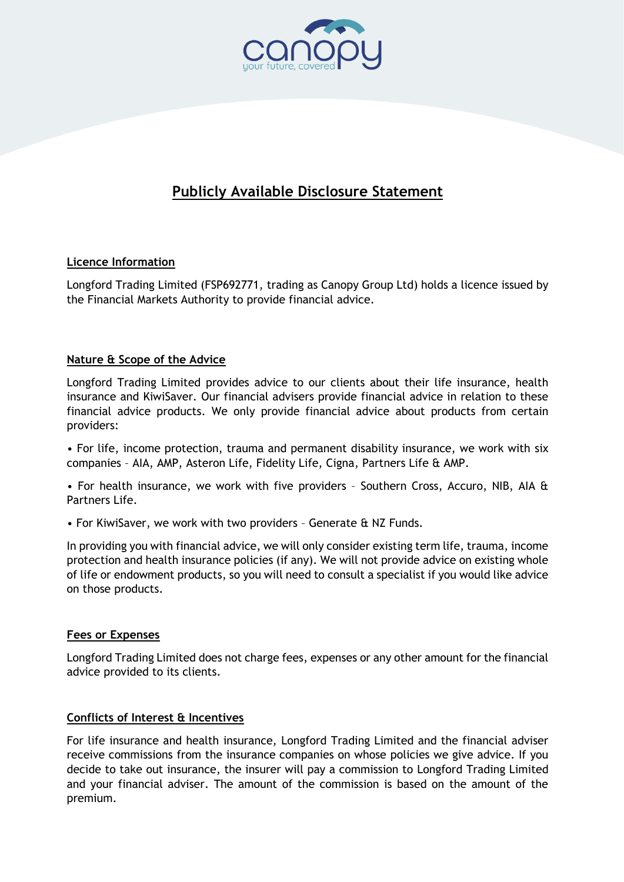

# **Publicly Available Disclosure Statement**

# **Licence Information**

Longford Trading Limited (FSP692771, trading as Canopy Group Ltd) holds a licence issued by the Financial Markets Authority to provide financial advice.

## **Nature & Scope of the Advice**

Longford Trading Limited provides advice to our clients about their life insurance, health insurance and KiwiSaver. Our financial advisers provide financial advice in relation to these financial advice products. We only provide financial advice about products from certain providers:

• For life, income protection, trauma and permanent disability insurance, we work with six companies – AIA, AMP, Asteron Life, Fidelity Life, Cigna, Partners Life & AMP.

• For health insurance, we work with five providers – Southern Cross, Accuro, NIB, AIA & Partners Life.

• For KiwiSaver, we work with two providers – Generate & NZ Funds.

In providing you with financial advice, we will only consider existing term life, trauma, income protection and health insurance policies (if any). We will not provide advice on existing whole of life or endowment products, so you will need to consult a specialist if you would like advice on those products.

#### **Fees or Expenses**

Longford Trading Limited does not charge fees, expenses or any other amount for the financial advice provided to its clients.

#### **Conflicts of Interest & Incentives**

For life insurance and health insurance, Longford Trading Limited and the financial adviser receive commissions from the insurance companies on whose policies we give advice. If you decide to take out insurance, the insurer will pay a commission to Longford Trading Limited and your financial adviser. The amount of the commission is based on the amount of the premium.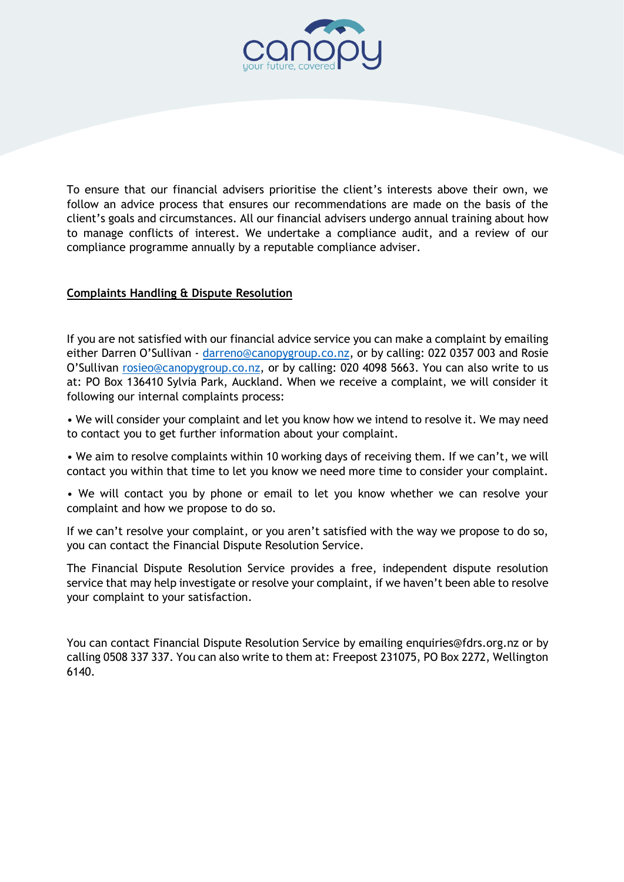

To ensure that our financial advisers prioritise the client's interests above their own, we follow an advice process that ensures our recommendations are made on the basis of the client's goals and circumstances. All our financial advisers undergo annual training about how to manage conflicts of interest. We undertake a compliance audit, and a review of our compliance programme annually by a reputable compliance adviser.

## **Complaints Handling & Dispute Resolution**

If you are not satisfied with our financial advice service you can make a complaint by emailing either Darren O'Sullivan - [darreno@canopygroup.co.nz,](https://canopygroup.sharepoint.com/sites/TDrive/Shared%20Documents/FAP%20Compliance/Disclosure%20Statements/Templates%20in%20Word%20-%20edit%20via%20these/darreno@canopygroup.co.nz) or by calling: 022 0357 003 and Rosie O'Sullivan [rosieo@canopygroup.co.nz,](mailto:rosieo@canopygroup.co.nz) or by calling: 020 4098 5663. You can also write to us at: PO Box 136410 Sylvia Park, Auckland. When we receive a complaint, we will consider it following our internal complaints process:

• We will consider your complaint and let you know how we intend to resolve it. We may need to contact you to get further information about your complaint.

• We aim to resolve complaints within 10 working days of receiving them. If we can't, we will contact you within that time to let you know we need more time to consider your complaint.

• We will contact you by phone or email to let you know whether we can resolve your complaint and how we propose to do so.

If we can't resolve your complaint, or you aren't satisfied with the way we propose to do so, you can contact the Financial Dispute Resolution Service.

The Financial Dispute Resolution Service provides a free, independent dispute resolution service that may help investigate or resolve your complaint, if we haven't been able to resolve your complaint to your satisfaction.

You can contact Financial Dispute Resolution Service by emailing [enquiries@fdrs.org.nz](mailto:enquiries@fdrs.org.nz) or by calling 0508 337 337. You can also write to them at: Freepost 231075, PO Box 2272, Wellington 6140.